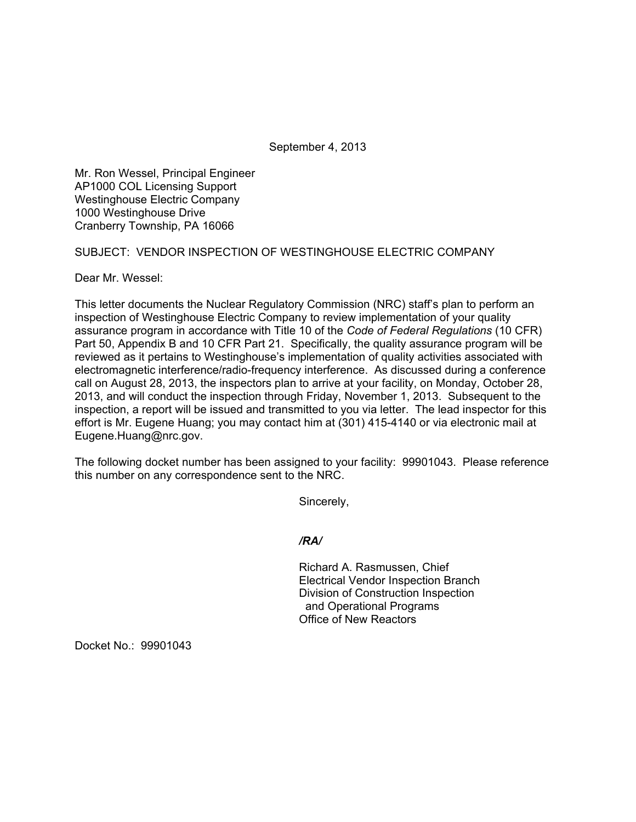September 4, 2013

Mr. Ron Wessel, Principal Engineer AP1000 COL Licensing Support Westinghouse Electric Company 1000 Westinghouse Drive Cranberry Township, PA 16066

SUBJECT: VENDOR INSPECTION OF WESTINGHOUSE ELECTRIC COMPANY

Dear Mr. Wessel:

This letter documents the Nuclear Regulatory Commission (NRC) staff's plan to perform an inspection of Westinghouse Electric Company to review implementation of your quality assurance program in accordance with Title 10 of the *Code of Federal Regulations* (10 CFR) Part 50, Appendix B and 10 CFR Part 21. Specifically, the quality assurance program will be reviewed as it pertains to Westinghouse's implementation of quality activities associated with electromagnetic interference/radio-frequency interference. As discussed during a conference call on August 28, 2013, the inspectors plan to arrive at your facility, on Monday, October 28, 2013, and will conduct the inspection through Friday, November 1, 2013. Subsequent to the inspection, a report will be issued and transmitted to you via letter. The lead inspector for this effort is Mr. Eugene Huang; you may contact him at (301) 415-4140 or via electronic mail at Eugene.Huang@nrc.gov.

The following docket number has been assigned to your facility: 99901043. Please reference this number on any correspondence sent to the NRC.

Sincerely,

## */RA/*

Richard A. Rasmussen, Chief Electrical Vendor Inspection Branch Division of Construction Inspection and Operational Programs Office of New Reactors

Docket No.: 99901043